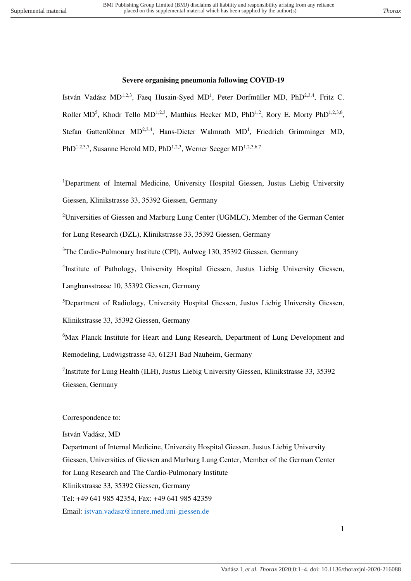### **Severe organising pneumonia following COVID-19**

István Vadász MD<sup>1,2,3</sup>, Faeq Husain-Syed MD<sup>1</sup>, Peter Dorfmüller MD, PhD<sup>2,3,4</sup>, Fritz C. Roller MD<sup>5</sup>, Khodr Tello MD<sup>1,2,3</sup>, Matthias Hecker MD, PhD<sup>1,2</sup>, Rory E. Morty PhD<sup>1,2,3,6</sup>, Stefan Gattenlöhner  $MD^{2,3,4}$ , Hans-Dieter Walmrath  $MD<sup>1</sup>$ , Friedrich Grimminger MD, PhD<sup>1,2,3,7</sup>, Susanne Herold MD, PhD<sup>1,2,3</sup>, Werner Seeger MD<sup>1,2,3,6,7</sup>

<sup>1</sup>Department of Internal Medicine, University Hospital Giessen, Justus Liebig University Giessen, Klinikstrasse 33, 35392 Giessen, Germany

<sup>2</sup>Universities of Giessen and Marburg Lung Center (UGMLC), Member of the German Center

for Lung Research (DZL), Klinikstrasse 33, 35392 Giessen, Germany

<sup>3</sup>The Cardio-Pulmonary Institute (CPI), Aulweg 130, 35392 Giessen, Germany

4 Institute of Pathology, University Hospital Giessen, Justus Liebig University Giessen, Langhansstrasse 10, 35392 Giessen, Germany

<sup>5</sup>Department of Radiology, University Hospital Giessen, Justus Liebig University Giessen,

Klinikstrasse 33, 35392 Giessen, Germany

<sup>6</sup>Max Planck Institute for Heart and Lung Research, Department of Lung Development and Remodeling, Ludwigstrasse 43, 61231 Bad Nauheim, Germany

<sup>7</sup>Institute for Lung Health (ILH), Justus Liebig University Giessen, Klinikstrasse 33, 35392 Giessen, Germany

#### Correspondence to:

István Vadász, MD Department of Internal Medicine, University Hospital Giessen, Justus Liebig University Giessen, Universities of Giessen and Marburg Lung Center, Member of the German Center for Lung Research and The Cardio-Pulmonary Institute Klinikstrasse 33, 35392 Giessen, Germany Tel: +49 641 985 42354, Fax: +49 641 985 42359 Email: [istvan.vadasz@innere.med.uni-giessen.de](mailto:istvan.vadasz@innere.med.uni-giessen.de)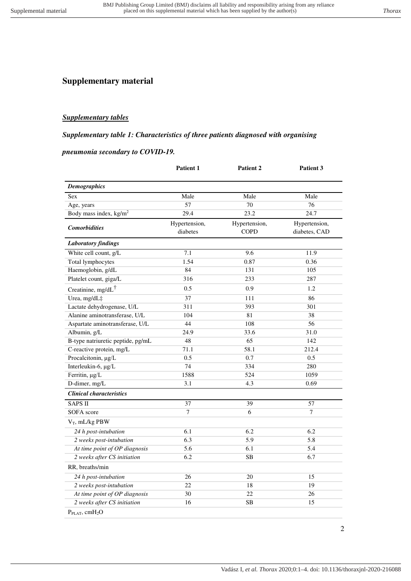# **Supplementary material**

### *Supplementary tables*

#### *Supplementary table 1: Characteristics of three patients diagnosed with organising*

### *pneumonia secondary to COVID-19.*

|                                        | Patient 1                 | Patient 2                    | Patient 3                      |
|----------------------------------------|---------------------------|------------------------------|--------------------------------|
| <b>Demographics</b>                    |                           |                              |                                |
| <b>Sex</b>                             | Male                      | Male                         | Male                           |
| Age, years                             | 57                        | 70                           | 76                             |
| Body mass index, kg/m <sup>2</sup>     | 29.4                      | 23.2                         | 24.7                           |
| <b>Comorbidities</b>                   | Hypertension,<br>diabetes | Hypertension,<br><b>COPD</b> | Hypertension,<br>diabetes, CAD |
| <b>Laboratory findings</b>             |                           |                              |                                |
| White cell count, g/L                  | 7.1                       | 9.6                          | 11.9                           |
| Total lymphocytes                      | 1.54                      | 0.87                         | 0.36                           |
| Haemoglobin, g/dL                      | 84                        | 131                          | 105                            |
| Platelet count, giga/L                 | 316                       | 233                          | 287                            |
| Creatinine, mg/dL <sup>†</sup>         | 0.5                       | 0.9                          | 1.2                            |
| Urea, mg/dL‡                           | 37                        | 111                          | 86                             |
| Lactate dehydrogenase, U/L             | 311                       | 393                          | 301                            |
| Alanine aminotransferase, U/L          | 104                       | 81                           | 38                             |
| Aspartate aminotransferase, U/L        | 44                        | 108                          | 56                             |
| Albumin, g/L                           | 24.9                      | 33.6                         | 31.0                           |
| B-type natriuretic peptide, pg/mL      | 48                        | 65                           | 142                            |
| C-reactive protein, mg/L               | 71.1                      | 58.1                         | 212.4                          |
| Procalcitonin, µg/L                    | 0.5                       | 0.7                          | 0.5                            |
| Interleukin-6, µg/L                    | 74                        | 334                          | 280                            |
| Ferritin, µg/L                         | 1588                      | 524                          | 1059                           |
| D-dimer, mg/L                          | 3.1                       | 4.3                          | 0.69                           |
| <b>Clinical characteristics</b>        |                           |                              |                                |
| <b>SAPS II</b>                         | 37                        | 39                           | 57                             |
| <b>SOFA</b> score                      | $\tau$                    | 6                            | 7                              |
| $V_T$ , mL/kg PBW                      |                           |                              |                                |
| 24 h post-intubation                   | 6.1                       | 6.2                          | 6.2                            |
| 2 weeks post-intubation                | 6.3                       | 5.9                          | 5.8                            |
| At time point of OP diagnosis          | 5.6                       | 6.1                          | 5.4                            |
| 2 weeks after CS initiation            | 6.2                       | <b>SB</b>                    | 6.7                            |
| RR, breaths/min                        |                           |                              |                                |
| 24 h post-intubation                   | 26                        | 20                           | 15                             |
| 2 weeks post-intubation                | 22                        | 18                           | 19                             |
| At time point of OP diagnosis          | 30                        | 22                           | 26                             |
| 2 weeks after CS initiation            | 16                        | <b>SB</b>                    | 15                             |
| P <sub>PLAT</sub> , cmH <sub>2</sub> O |                           |                              |                                |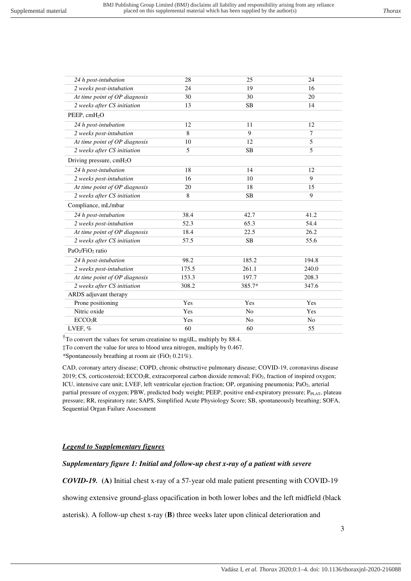| 24 h post-intubation                     | 28    | 25        | 24             |
|------------------------------------------|-------|-----------|----------------|
| 2 weeks post-intubation                  | 24    | 19        | 16             |
| At time point of OP diagnosis            | 30    | 30        | 20             |
| 2 weeks after CS initiation              | 13    | <b>SB</b> | 14             |
| PEEP, cmH <sub>2</sub> O                 |       |           |                |
| 24 h post-intubation                     | 12    | 11        | 12             |
| 2 weeks post-intubation                  | 8     | 9         | $\overline{7}$ |
| At time point of OP diagnosis            | 10    | 12        | 5              |
| 2 weeks after CS initiation              | 5     | <b>SB</b> | 5              |
| Driving pressure, $cmH2O$                |       |           |                |
| 24 h post-intubation                     | 18    | 14        | 12             |
| 2 weeks post-intubation                  | 16    | 10        | 9              |
| At time point of OP diagnosis            | 20    | 18        | 15             |
| 2 weeks after CS initiation              | 8     | <b>SB</b> | 9              |
| Compliance, mL/mbar                      |       |           |                |
| 24 h post-intubation                     | 38.4  | 42.7      | 41.2           |
| 2 weeks post-intubation                  | 52.3  | 65.3      | 54.4           |
| At time point of OP diagnosis            | 18.4  | 22.5      | 26.2           |
| 2 weeks after CS initiation              | 57.5  | <b>SB</b> | 55.6           |
| PaO <sub>2</sub> /FiO <sub>2</sub> ratio |       |           |                |
| 24 h post-intubation                     | 98.2  | 185.2     | 194.8          |
| 2 weeks post-intubation                  | 175.5 | 261.1     | 240.0          |
| At time point of OP diagnosis            | 153.3 | 197.7     | 208.3          |
| 2 weeks after CS initiation              | 308.2 | 385.7*    | 347.6          |
| ARDS adjuvant therapy                    |       |           |                |
| Prone positioning                        | Yes   | Yes       | Yes            |
| Nitric oxide                             | Yes   | No        | Yes            |
| ECCO <sub>2</sub> R                      | Yes   | No        | N <sub>o</sub> |
| LVEF, %                                  | 60    | 60        | 55             |
|                                          |       |           |                |

†To convert the values for serum creatinine to mg/dL, multiply by 88.4.

‡To convert the value for urea to blood urea nitrogen, multiply by 0.467.

*\**Spontaneously breathing at room air (FiO<sup>2</sup> 0.21%).

CAD, coronary artery disease; COPD, chronic obstructive pulmonary disease; COVID-19, coronavirus disease 2019; CS, corticosteroid; ECCO<sub>2</sub>R, extracorporeal carbon dioxide removal; FiO<sub>2</sub>, fraction of inspired oxygen; ICU, intensive care unit; LVEF, left ventricular ejection fraction; OP, organising pneumonia; PaO<sub>2</sub>, arterial partial pressure of oxygen; PBW, predicted body weight; PEEP, positive end-expiratory pressure; PPLAT, plateau pressure; RR, respiratory rate; SAPS, Simplified Acute Physiology Score; SB, spontaneously breathing; SOFA, Sequential Organ Failure Assessment

## *Legend to Supplementary figures*

# *Supplementary figure 1: Initial and follow-up chest x-ray of a patient with severe*

*COVID-19.* **(A)** Initial chest x-ray of a 57-year old male patient presenting with COVID-19

showing extensive ground-glass opacification in both lower lobes and the left midfield (black

asterisk). A follow-up chest x-ray (**B**) three weeks later upon clinical deterioration and